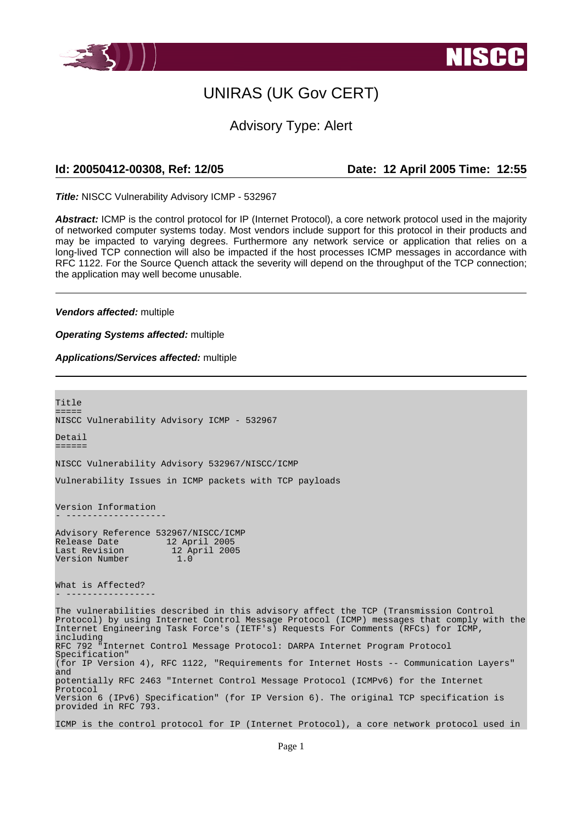

# UNIRAS (UK Gov CERT)

### Advisory Type: Alert

**Id: 20050412-00308, Ref: 12/05 Date: 12 April 2005 Time: 12:55**

**Title:** NISCC Vulnerability Advisory ICMP - 532967

**Abstract:** ICMP is the control protocol for IP (Internet Protocol), a core network protocol used in the majority of networked computer systems today. Most vendors include support for this protocol in their products and may be impacted to varying degrees. Furthermore any network service or application that relies on a long-lived TCP connection will also be impacted if the host processes ICMP messages in accordance with RFC 1122. For the Source Quench attack the severity will depend on the throughput of the TCP connection; the application may well become unusable.

**Vendors affected:** multiple

**Operating Systems affected:** multiple

#### **Applications/Services affected:** multiple

Title ===== NISCC Vulnerability Advisory ICMP - 532967 Detail ====== NISCC Vulnerability Advisory 532967/NISCC/ICMP Vulnerability Issues in ICMP packets with TCP payloads Version Information - ------------------- Advisory Reference 532967/NISCC/ICMP<br>Release Date 12 April 2005 12 April 2005<br>12 April 2005 Last Revision Version Number 1.0 What is Affected? - ----------------- The vulnerabilities described in this advisory affect the TCP (Transmission Control Protocol) by using Internet Control Message Protocol (ICMP) messages that comply with the Internet Engineering Task Force's (IETF's) Requests For Comments (RFCs) for ICMP, including RFC 792 "Internet Control Message Protocol: DARPA Internet Program Protocol Specification" (for IP Version 4), RFC 1122, "Requirements for Internet Hosts -- Communication Layers" and potentially RFC 2463 "Internet Control Message Protocol (ICMPv6) for the Internet .<br>Protocol Version 6 (IPv6) Specification" (for IP Version 6). The original TCP specification is provided in RFC 793. ICMP is the control protocol for IP (Internet Protocol), a core network protocol used in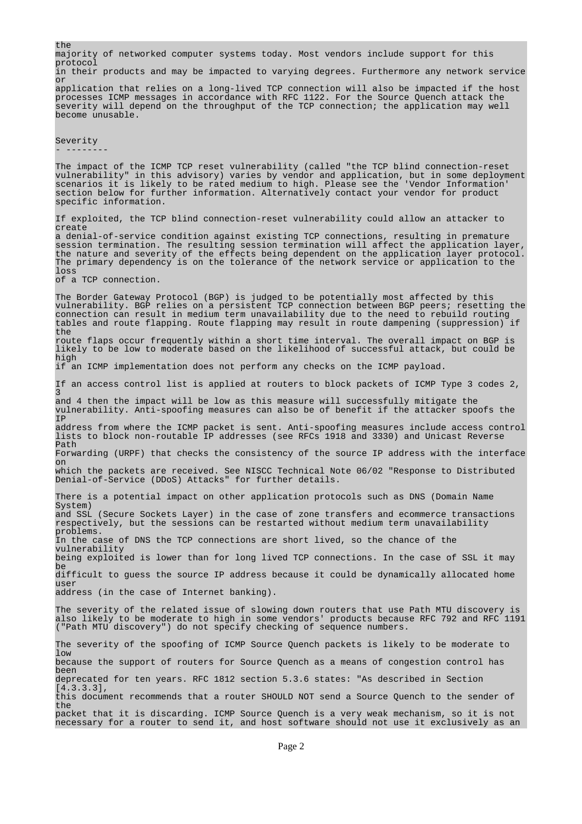the majority of networked computer systems today. Most vendors include support for this protocol in their products and may be impacted to varying degrees. Furthermore any network service or application that relies on a long-lived TCP connection will also be impacted if the host processes ICMP messages in accordance with RFC 1122. For the Source Quench attack the severity will depend on the throughput of the TCP connection; the application may well become unusable. Severity - -------- The impact of the ICMP TCP reset vulnerability (called "the TCP blind connection-reset vulnerability" in this advisory) varies by vendor and application, but in some deployment scenarios it is likely to be rated medium to high. Please see the 'Vendor Information' section below for further information. Alternatively contact your vendor for product specific information. If exploited, the TCP blind connection-reset vulnerability could allow an attacker to create a denial-of-service condition against existing TCP connections, resulting in premature a defination service condition against entrosing for connectantly for application layer, the nature and severity of the effects being dependent on the application layer protocol. The primary dependency is on the tolerance of the network service or application to the loss of a TCP connection. The Border Gateway Protocol (BGP) is judged to be potentially most affected by this vulnerability. BGP relies on a persistent TCP connection between BGP peers; resetting the connection can result in medium term unavailability due to the need to rebuild routing<br>tables and route flapping. Route flapping may result in route dampening (suppression) if tables and route flapping. Route flapping may result in route dampening (suppression) the route flaps occur frequently within a short time interval. The overall impact on BGP is likely to be low to moderate based on the likelihood of successful attack, but could be high if an ICMP implementation does not perform any checks on the ICMP payload. If an access control list is applied at routers to block packets of ICMP Type 3 codes 2, 3 and 4 then the impact will be low as this measure will successfully mitigate the vulnerability. Anti-spoofing measures can also be of benefit if the attacker spoofs the IP address from where the ICMP packet is sent. Anti-spoofing measures include access control lists to block non-routable IP addresses (see RFCs 1918 and 3330) and Unicast Reverse Path Forwarding (URPF) that checks the consistency of the source IP address with the interface on which the packets are received. See NISCC Technical Note 06/02 "Response to Distributed Denial-of-Service (DDoS) Attacks" for further details. There is a potential impact on other application protocols such as DNS (Domain Name System) and SSL (Secure Sockets Layer) in the case of zone transfers and ecommerce transactions respectively, but the sessions can be restarted without medium term unavailability problems. In the case of DNS the TCP connections are short lived, so the chance of the vulnerability being exploited is lower than for long lived TCP connections. In the case of SSL it may be difficult to guess the source IP address because it could be dynamically allocated home user address (in the case of Internet banking). The severity of the related issue of slowing down routers that use Path MTU discovery is also likely to be moderate to high in some vendors' products because RFC 792 and RFC 1191 ("Path MTU discovery") do not specify checking of sequence numbers. The severity of the spoofing of ICMP Source Quench packets is likely to be moderate to low because the support of routers for Source Quench as a means of congestion control has been deprecated for ten years. RFC 1812 section 5.3.6 states: "As described in Section [4.3.3.3], this document recommends that a router SHOULD NOT send a Source Quench to the sender of the packet that it is discarding. ICMP Source Quench is a very weak mechanism, so it is not necessary for a router to send it, and host software should not use it exclusively as an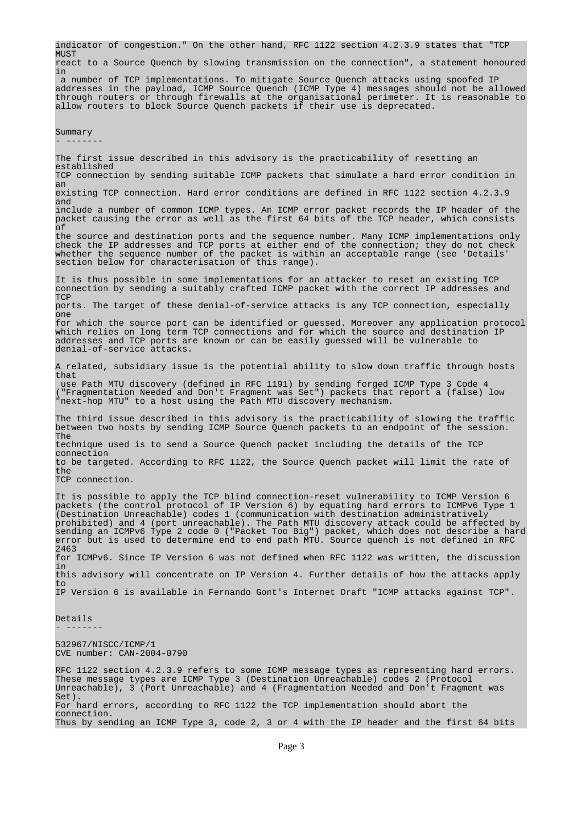indicator of congestion." On the other hand, RFC 1122 section 4.2.3.9 states that "TCP **MITST** 

react to a Source Quench by slowing transmission on the connection", a statement honoured in

a number of TCP implementations. To mitigate Source Quench attacks using spoofed IP addresses in the payload, ICMP Source Quench (ICMP Type 4) messages should not be allowed through routers or through firewalls at the organisational perimeter. It is reasonable to allow routers to block Source Quench packets if their use is deprecated.

Summary

 $- - - -$ 

The first issue described in this advisory is the practicability of resetting an established

TCP connection by sending suitable ICMP packets that simulate a hard error condition in an

existing TCP connection. Hard error conditions are defined in RFC 1122 section 4.2.3.9 and

include a number of common ICMP types. An ICMP error packet records the IP header of the packet causing the error as well as the first 64 bits of the TCP header, which consists of

the source and destination ports and the sequence number. Many ICMP implementations only check the IP addresses and TCP ports at either end of the connection; they do not check whether the sequence number of the packet is within an acceptable range (see 'Details' section below for characterisation of this range).

It is thus possible in some implementations for an attacker to reset an existing TCP connection by sending a suitably crafted ICMP packet with the correct IP addresses and **TCP** 

ports. The target of these denial-of-service attacks is any TCP connection, especially one

for which the source port can be identified or guessed. Moreover any application protocol which relies on long term TCP connections and for which the source and destination IP addresses and TCP ports are known or can be easily guessed will be vulnerable to denial-of-service attacks.

A related, subsidiary issue is the potential ability to slow down traffic through hosts that

use Path MTU discovery (defined in RFC 1191) by sending forged ICMP Type 3 Code 4 ("Fragmentation Needed and Don't Fragment was Set") packets that report a (false) low "next-hop MTU" to a host using the Path MTU discovery mechanism.

The third issue described in this advisory is the practicability of slowing the traffic between two hosts by sending ICMP Source Quench packets to an endpoint of the session. The

technique used is to send a Source Quench packet including the details of the TCP connection

to be targeted. According to RFC 1122, the Source Quench packet will limit the rate of the

TCP connection.

It is possible to apply the TCP blind connection-reset vulnerability to ICMP Version 6 packets (the control protocol of IP Version 6) by equating hard errors to ICMPv6 Type 1 (Destination Unreachable) codes 1 (communication with destination administratively prohibited) and 4 (port unreachable). The Path MTU discovery attack could be affected by sending an ICMPv6 Type 2 code 0 ("Packet Too Big") packet, which does not describe a hard error but is used to determine end to end path MTU. Source quench is not defined in RFC 2463 for ICMPv6. Since IP Version 6 was not defined when RFC 1122 was written, the discussion in this advisory will concentrate on IP Version 4. Further details of how the attacks apply to IP Version 6 is available in Fernando Gont's Internet Draft "ICMP attacks against TCP".

Details - -------

532967/NISCC/ICMP/1 CVE number: CAN-2004-0790

RFC 1122 section 4.2.3.9 refers to some ICMP message types as representing hard errors. These message types are ICMP Type 3 (Destination Unreachable) codes 2 (Protocol Unreachable), 3 (Port Unreachable) and 4 (Fragmentation Needed and Don't Fragment was Set). For hard errors, according to RFC 1122 the TCP implementation should abort the connection. Thus by sending an ICMP Type 3, code 2, 3 or 4 with the IP header and the first 64 bits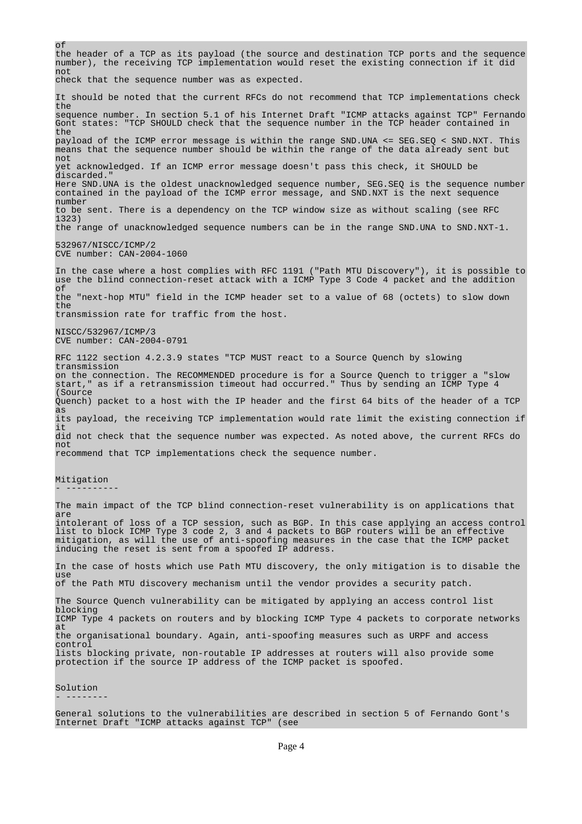of the header of a TCP as its payload (the source and destination TCP ports and the sequence number), the receiving TCP implementation would reset the existing connection if it did not check that the sequence number was as expected. It should be noted that the current RFCs do not recommend that TCP implementations check the sequence number. In section 5.1 of his Internet Draft "ICMP attacks against TCP" Fernando Gont states: "TCP SHOULD check that the sequence number in the TCP header contained in the payload of the ICMP error message is within the range SND.UNA <= SEG.SEQ < SND.NXT. This means that the sequence number should be within the range of the data already sent but not yet acknowledged. If an ICMP error message doesn't pass this check, it SHOULD be discarded." Here SND.UNA is the oldest unacknowledged sequence number, SEG.SEQ is the sequence number contained in the payload of the ICMP error message, and SND.NXT is the next sequence number to be sent. There is a dependency on the TCP window size as without scaling (see RFC 1323) the range of unacknowledged sequence numbers can be in the range SND.UNA to SND.NXT-1. 532967/NISCC/ICMP/2 CVE number: CAN-2004-1060 In the case where a host complies with RFC 1191 ("Path MTU Discovery"), it is possible to use the blind connection-reset attack with a ICMP Type 3 Code 4 packet and the addition of the "next-hop MTU" field in the ICMP header set to a value of 68 (octets) to slow down the transmission rate for traffic from the host. NISCC/532967/ICMP/3 CVE number: CAN-2004-0791 RFC 1122 section 4.2.3.9 states "TCP MUST react to a Source Quench by slowing transmission on the connection. The RECOMMENDED procedure is for a Source Quench to trigger a "slow start," as if a retransmission timeout had occurred." Thus by sending an ICMP Type 4 (Source Quench) packet to a host with the IP header and the first 64 bits of the header of a TCP as its payload, the receiving TCP implementation would rate limit the existing connection if  $\pm$ did not check that the sequence number was expected. As noted above, the current RFCs do not recommend that TCP implementations check the sequence number. Mitigation - ---------- The main impact of the TCP blind connection-reset vulnerability is on applications that are intolerant of loss of a TCP session, such as BGP. In this case applying an access control list to block ICMP Type 3 code 2, 3 and 4 packets to BGP routers will be an effective mitigation, as will the use of anti-spoofing measures in the case that the ICMP packet inducing the reset is sent from a spoofed IP address. In the case of hosts which use Path MTU discovery, the only mitigation is to disable the use of the Path MTU discovery mechanism until the vendor provides a security patch. The Source Quench vulnerability can be mitigated by applying an access control list blocking ICMP Type 4 packets on routers and by blocking ICMP Type 4 packets to corporate networks at the organisational boundary. Again, anti-spoofing measures such as URPF and access control lists blocking private, non-routable IP addresses at routers will also provide some protection if the source IP address of the ICMP packet is spoofed. Solution - --------

General solutions to the vulnerabilities are described in section 5 of Fernando Gont's Internet Draft "ICMP attacks against TCP" (see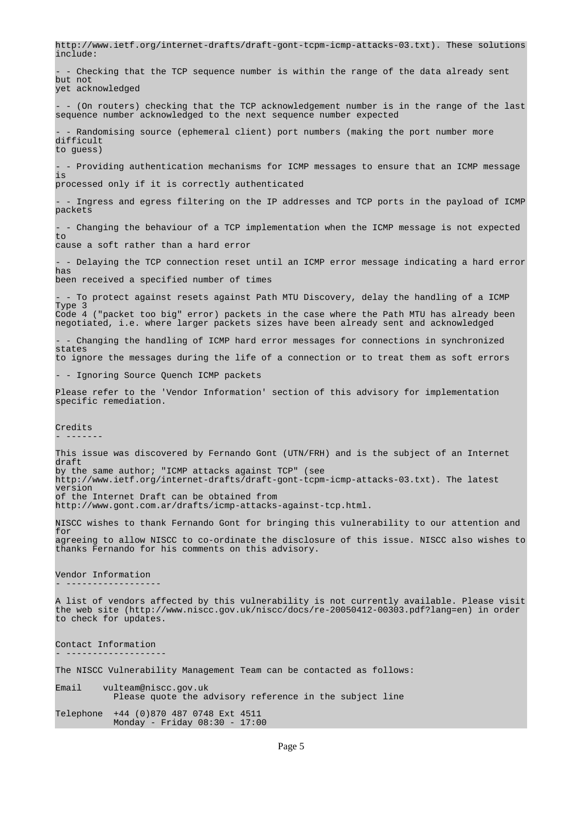http://www.ietf.org/internet-drafts/draft-gont-tcpm-icmp-attacks-03.txt). These solutions include: - Checking that the TCP sequence number is within the range of the data already sent but not yet acknowledged  $-$  (On routers) checking that the TCP acknowledgement number is in the range of the last sequence number acknowledged to the next sequence number expected Randomising source (ephemeral client) port numbers (making the port number more difficult to guess) - - Providing authentication mechanisms for ICMP messages to ensure that an ICMP message is processed only if it is correctly authenticated - - Ingress and egress filtering on the IP addresses and TCP ports in the payload of ICMP packets - - Changing the behaviour of a TCP implementation when the ICMP message is not expected to cause a soft rather than a hard error - - Delaying the TCP connection reset until an ICMP error message indicating a hard error has been received a specified number of times - - To protect against resets against Path MTU Discovery, delay the handling of a ICMP Type 3 Code 4 ("packet too big" error) packets in the case where the Path MTU has already been negotiated, i.e. where larger packets sizes have been already sent and acknowledged - Changing the handling of ICMP hard error messages for connections in synchronized states to ignore the messages during the life of a connection or to treat them as soft errors - - Ignoring Source Quench ICMP packets Please refer to the 'Vendor Information' section of this advisory for implementation specific remediation. Credits - ------- This issue was discovered by Fernando Gont (UTN/FRH) and is the subject of an Internet draft by the same author; "ICMP attacks against TCP" (see http://www.ietf.org/internet-drafts/draft-gont-tcpm-icmp-attacks-03.txt). The latest version of the Internet Draft can be obtained from http://www.gont.com.ar/drafts/icmp-attacks-against-tcp.html. NISCC wishes to thank Fernando Gont for bringing this vulnerability to our attention and for agreeing to allow NISCC to co-ordinate the disclosure of this issue. NISCC also wishes to thanks Fernando for his comments on this advisory. Vendor Information - ------------------ A list of vendors affected by this vulnerability is not currently available. Please visit the web site (http://www.niscc.gov.uk/niscc/docs/re-20050412-00303.pdf?lang=en) in order to check for updates. Contact Information - ------------------- The NISCC Vulnerability Management Team can be contacted as follows: Email vulteam@niscc.gov.uk Please quote the advisory reference in the subject line Telephone +44 (0)870 487 0748 Ext 4511 Monday - Friday 08:30 - 17:00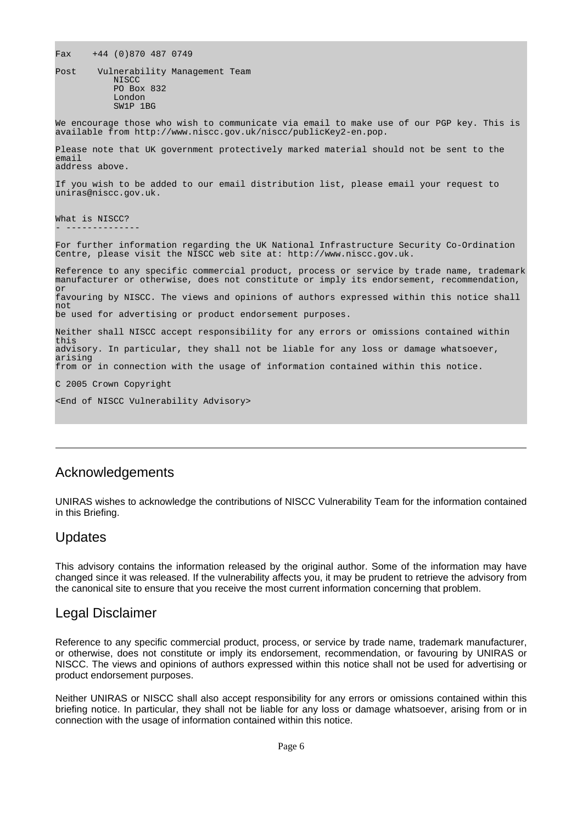Fax +44 (0)870 487 0749

Post Vulnerability Management Team **NISCC** PO Box 832 London SW<sub>1</sub>P 1BG

We encourage those who wish to communicate via email to make use of our PGP key. This is available from http://www.niscc.gov.uk/niscc/publicKey2-en.pop.

Please note that UK government protectively marked material should not be sent to the email address above.

If you wish to be added to our email distribution list, please email your request to uniras@niscc.gov.uk.

What is NISCC? - --------------

For further information regarding the UK National Infrastructure Security Co-Ordination Centre, please visit the NISCC web site at: http://www.niscc.gov.uk.

Reference to any specific commercial product, process or service by trade name, trademark manufacturer or otherwise, does not constitute or imply its endorsement, recommendation, or

favouring by NISCC. The views and opinions of authors expressed within this notice shall not

be used for advertising or product endorsement purposes.

Neither shall NISCC accept responsibility for any errors or omissions contained within this advisory. In particular, they shall not be liable for any loss or damage whatsoever, arising

from or in connection with the usage of information contained within this notice.

C 2005 Crown Copyright

<End of NISCC Vulnerability Advisory>

### Acknowledgements

UNIRAS wishes to acknowledge the contributions of NISCC Vulnerability Team for the information contained in this Briefing.

### Updates

This advisory contains the information released by the original author. Some of the information may have changed since it was released. If the vulnerability affects you, it may be prudent to retrieve the advisory from the canonical site to ensure that you receive the most current information concerning that problem.

### Legal Disclaimer

Reference to any specific commercial product, process, or service by trade name, trademark manufacturer, or otherwise, does not constitute or imply its endorsement, recommendation, or favouring by UNIRAS or NISCC. The views and opinions of authors expressed within this notice shall not be used for advertising or product endorsement purposes.

Neither UNIRAS or NISCC shall also accept responsibility for any errors or omissions contained within this briefing notice. In particular, they shall not be liable for any loss or damage whatsoever, arising from or in connection with the usage of information contained within this notice.